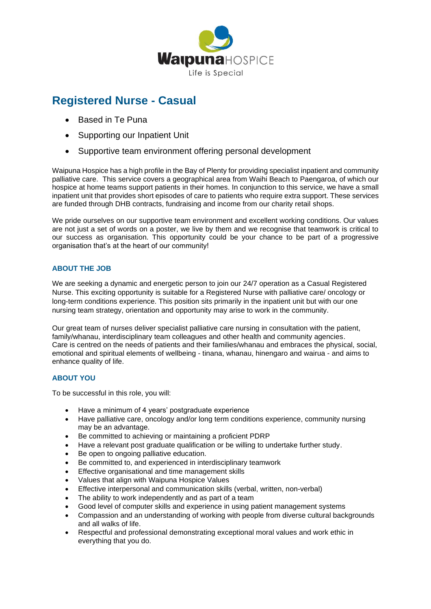

# **Registered Nurse - Casual**

- Based in Te Puna
- Supporting our Inpatient Unit
- Supportive team environment offering personal development

Waipuna Hospice has a high profile in the Bay of Plenty for providing specialist inpatient and community palliative care. This service covers a geographical area from Waihi Beach to Paengaroa, of which our hospice at home teams support patients in their homes. In conjunction to this service, we have a small inpatient unit that provides short episodes of care to patients who require extra support. These services are funded through DHB contracts, fundraising and income from our charity retail shops.

We pride ourselves on our supportive team environment and excellent working conditions. Our values are not just a set of words on a poster, we live by them and we recognise that teamwork is critical to our success as organisation. This opportunity could be your chance to be part of a progressive organisation that's at the heart of our community!

# **ABOUT THE JOB**

We are seeking a dynamic and energetic person to join our 24/7 operation as a Casual Registered Nurse. This exciting opportunity is suitable for a Registered Nurse with palliative care/ oncology or long-term conditions experience. This position sits primarily in the inpatient unit but with our one nursing team strategy, orientation and opportunity may arise to work in the community.

Our great team of nurses deliver specialist palliative care nursing in consultation with the patient, family/whanau, interdisciplinary team colleagues and other health and community agencies. Care is centred on the needs of patients and their families/whanau and embraces the physical, social, emotional and spiritual elements of wellbeing - tinana, whanau, hinengaro and wairua - and aims to enhance quality of life.

## **ABOUT YOU**

To be successful in this role, you will:

- Have a minimum of 4 years' postgraduate experience
- Have palliative care, oncology and/or long term conditions experience, community nursing may be an advantage.
- Be committed to achieving or maintaining a proficient PDRP
- Have a relevant post graduate qualification or be willing to undertake further study.
- Be open to ongoing palliative education.
- Be committed to, and experienced in interdisciplinary teamwork
- Effective organisational and time management skills
- Values that align with Waipuna Hospice Values
- Effective interpersonal and communication skills (verbal, written, non-verbal)
- The ability to work independently and as part of a team
- Good level of computer skills and experience in using patient management systems
- Compassion and an understanding of working with people from diverse cultural backgrounds and all walks of life.
- Respectful and professional demonstrating exceptional moral values and work ethic in everything that you do.